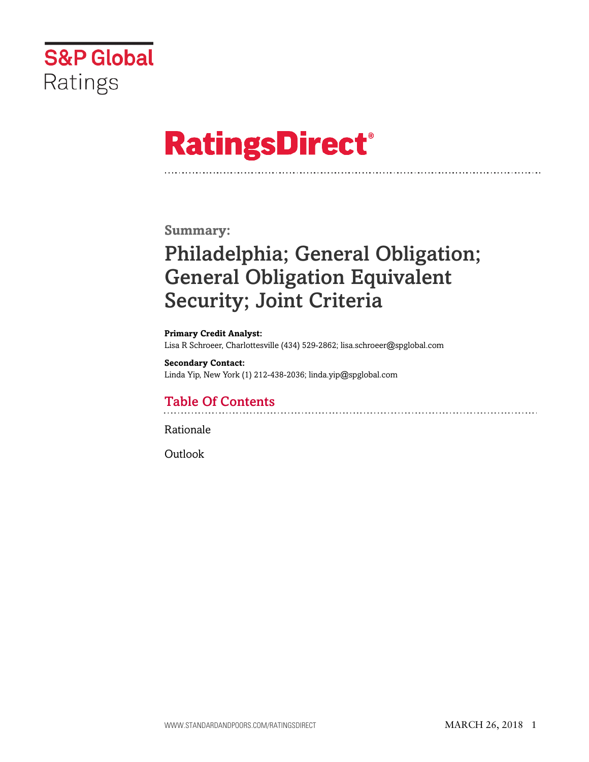

# **RatingsDirect®**

### **Summary:**

# Philadelphia; General Obligation; General Obligation Equivalent Security; Joint Criteria

**Primary Credit Analyst:** Lisa R Schroeer, Charlottesville (434) 529-2862; lisa.schroeer@spglobal.com

**Secondary Contact:** Linda Yip, New York (1) 212-438-2036; linda.yip@spglobal.com

# Table Of Contents

[Rationale](#page-1-0)

[Outlook](#page-7-0)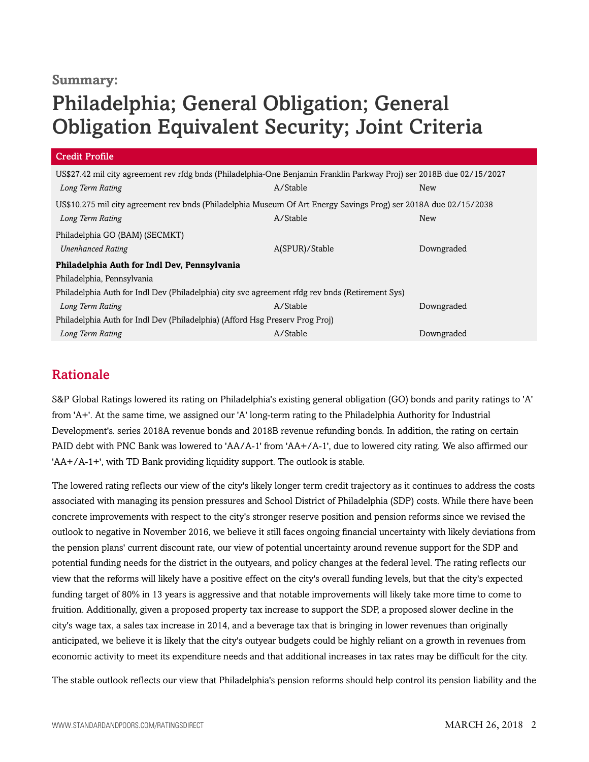### **Summary:**

# Philadelphia; General Obligation; General Obligation Equivalent Security; Joint Criteria

| <b>Credit Profile</b>                                                                                                 |                |            |  |  |
|-----------------------------------------------------------------------------------------------------------------------|----------------|------------|--|--|
| US\$27.42 mil city agreement rev rfdg bnds (Philadelphia-One Benjamin Franklin Parkway Proj) ser 2018B due 02/15/2027 |                |            |  |  |
| Long Term Rating                                                                                                      | A/Stable       | New        |  |  |
| US\$10.275 mil city agreement rev bnds (Philadelphia Museum Of Art Energy Savings Prog) ser 2018A due 02/15/2038      |                |            |  |  |
| Long Term Rating                                                                                                      | A/Stable       | New        |  |  |
| Philadelphia GO (BAM) (SECMKT)                                                                                        |                |            |  |  |
| <b>Unenhanced Rating</b>                                                                                              | A(SPUR)/Stable | Downgraded |  |  |
| Philadelphia Auth for Indl Dev, Pennsylvania                                                                          |                |            |  |  |
| Philadelphia, Pennsylvania                                                                                            |                |            |  |  |
| Philadelphia Auth for Indl Dev (Philadelphia) city svc agreement rfdg rev bnds (Retirement Sys)                       |                |            |  |  |
| Long Term Rating                                                                                                      | A/Stable       | Downgraded |  |  |
| Philadelphia Auth for Indl Dev (Philadelphia) (Afford Hsg Preserv Prog Proj)                                          |                |            |  |  |
| Long Term Rating                                                                                                      | A/Stable       | Downgraded |  |  |

## <span id="page-1-0"></span>Rationale

S&P Global Ratings lowered its rating on Philadelphia's existing general obligation (GO) bonds and parity ratings to 'A' from 'A+'. At the same time, we assigned our 'A' long-term rating to the Philadelphia Authority for Industrial Development's. series 2018A revenue bonds and 2018B revenue refunding bonds. In addition, the rating on certain PAID debt with PNC Bank was lowered to 'AA/A-1' from 'AA+/A-1', due to lowered city rating. We also affirmed our 'AA+/A-1+', with TD Bank providing liquidity support. The outlook is stable.

The lowered rating reflects our view of the city's likely longer term credit trajectory as it continues to address the costs associated with managing its pension pressures and School District of Philadelphia (SDP) costs. While there have been concrete improvements with respect to the city's stronger reserve position and pension reforms since we revised the outlook to negative in November 2016, we believe it still faces ongoing financial uncertainty with likely deviations from the pension plans' current discount rate, our view of potential uncertainty around revenue support for the SDP and potential funding needs for the district in the outyears, and policy changes at the federal level. The rating reflects our view that the reforms will likely have a positive effect on the city's overall funding levels, but that the city's expected funding target of 80% in 13 years is aggressive and that notable improvements will likely take more time to come to fruition. Additionally, given a proposed property tax increase to support the SDP, a proposed slower decline in the city's wage tax, a sales tax increase in 2014, and a beverage tax that is bringing in lower revenues than originally anticipated, we believe it is likely that the city's outyear budgets could be highly reliant on a growth in revenues from economic activity to meet its expenditure needs and that additional increases in tax rates may be difficult for the city.

The stable outlook reflects our view that Philadelphia's pension reforms should help control its pension liability and the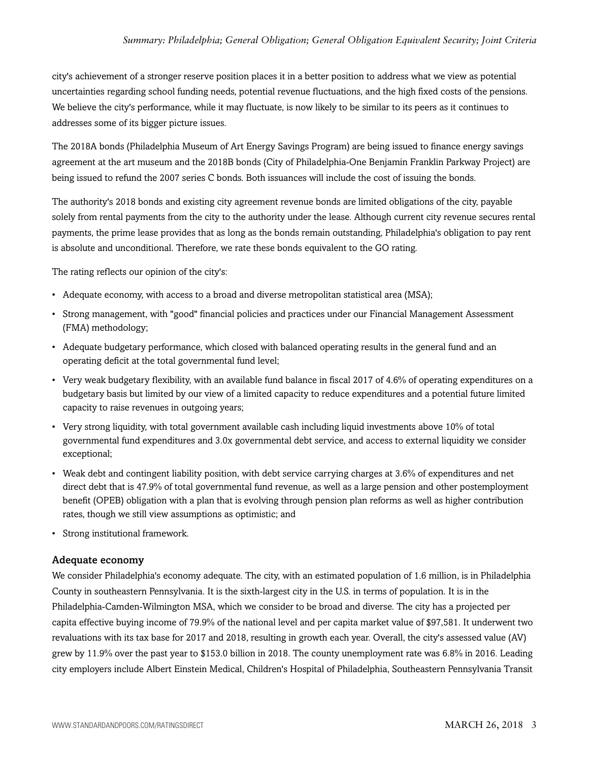city's achievement of a stronger reserve position places it in a better position to address what we view as potential uncertainties regarding school funding needs, potential revenue fluctuations, and the high fixed costs of the pensions. We believe the city's performance, while it may fluctuate, is now likely to be similar to its peers as it continues to addresses some of its bigger picture issues.

The 2018A bonds (Philadelphia Museum of Art Energy Savings Program) are being issued to finance energy savings agreement at the art museum and the 2018B bonds (City of Philadelphia-One Benjamin Franklin Parkway Project) are being issued to refund the 2007 series C bonds. Both issuances will include the cost of issuing the bonds.

The authority's 2018 bonds and existing city agreement revenue bonds are limited obligations of the city, payable solely from rental payments from the city to the authority under the lease. Although current city revenue secures rental payments, the prime lease provides that as long as the bonds remain outstanding, Philadelphia's obligation to pay rent is absolute and unconditional. Therefore, we rate these bonds equivalent to the GO rating.

The rating reflects our opinion of the city's:

- Adequate economy, with access to a broad and diverse metropolitan statistical area (MSA);
- Strong management, with "good" financial policies and practices under our Financial Management Assessment (FMA) methodology;
- Adequate budgetary performance, which closed with balanced operating results in the general fund and an operating deficit at the total governmental fund level;
- Very weak budgetary flexibility, with an available fund balance in fiscal 2017 of 4.6% of operating expenditures on a budgetary basis but limited by our view of a limited capacity to reduce expenditures and a potential future limited capacity to raise revenues in outgoing years;
- Very strong liquidity, with total government available cash including liquid investments above 10% of total governmental fund expenditures and 3.0x governmental debt service, and access to external liquidity we consider exceptional;
- Weak debt and contingent liability position, with debt service carrying charges at 3.6% of expenditures and net direct debt that is 47.9% of total governmental fund revenue, as well as a large pension and other postemployment benefit (OPEB) obligation with a plan that is evolving through pension plan reforms as well as higher contribution rates, though we still view assumptions as optimistic; and
- Strong institutional framework.

#### Adequate economy

We consider Philadelphia's economy adequate. The city, with an estimated population of 1.6 million, is in Philadelphia County in southeastern Pennsylvania. It is the sixth-largest city in the U.S. in terms of population. It is in the Philadelphia-Camden-Wilmington MSA, which we consider to be broad and diverse. The city has a projected per capita effective buying income of 79.9% of the national level and per capita market value of \$97,581. It underwent two revaluations with its tax base for 2017 and 2018, resulting in growth each year. Overall, the city's assessed value (AV) grew by 11.9% over the past year to \$153.0 billion in 2018. The county unemployment rate was 6.8% in 2016. Leading city employers include Albert Einstein Medical, Children's Hospital of Philadelphia, Southeastern Pennsylvania Transit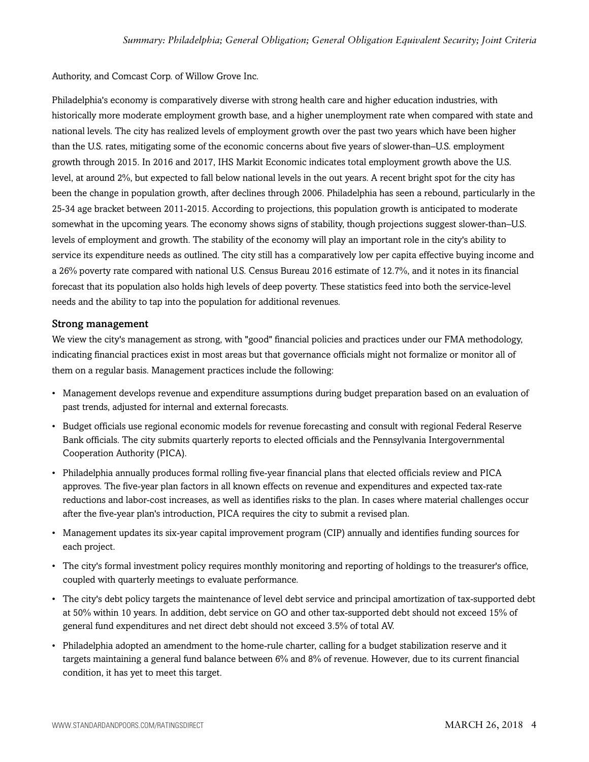Authority, and Comcast Corp. of Willow Grove Inc.

Philadelphia's economy is comparatively diverse with strong health care and higher education industries, with historically more moderate employment growth base, and a higher unemployment rate when compared with state and national levels. The city has realized levels of employment growth over the past two years which have been higher than the U.S. rates, mitigating some of the economic concerns about five years of slower-than–U.S. employment growth through 2015. In 2016 and 2017, IHS Markit Economic indicates total employment growth above the U.S. level, at around 2%, but expected to fall below national levels in the out years. A recent bright spot for the city has been the change in population growth, after declines through 2006. Philadelphia has seen a rebound, particularly in the 25-34 age bracket between 2011-2015. According to projections, this population growth is anticipated to moderate somewhat in the upcoming years. The economy shows signs of stability, though projections suggest slower-than–U.S. levels of employment and growth. The stability of the economy will play an important role in the city's ability to service its expenditure needs as outlined. The city still has a comparatively low per capita effective buying income and a 26% poverty rate compared with national U.S. Census Bureau 2016 estimate of 12.7%, and it notes in its financial forecast that its population also holds high levels of deep poverty. These statistics feed into both the service-level needs and the ability to tap into the population for additional revenues.

#### Strong management

We view the city's management as strong, with "good" financial policies and practices under our FMA methodology, indicating financial practices exist in most areas but that governance officials might not formalize or monitor all of them on a regular basis. Management practices include the following:

- Management develops revenue and expenditure assumptions during budget preparation based on an evaluation of past trends, adjusted for internal and external forecasts.
- Budget officials use regional economic models for revenue forecasting and consult with regional Federal Reserve Bank officials. The city submits quarterly reports to elected officials and the Pennsylvania Intergovernmental Cooperation Authority (PICA).
- Philadelphia annually produces formal rolling five-year financial plans that elected officials review and PICA approves. The five-year plan factors in all known effects on revenue and expenditures and expected tax-rate reductions and labor-cost increases, as well as identifies risks to the plan. In cases where material challenges occur after the five-year plan's introduction, PICA requires the city to submit a revised plan.
- Management updates its six-year capital improvement program (CIP) annually and identifies funding sources for each project.
- The city's formal investment policy requires monthly monitoring and reporting of holdings to the treasurer's office, coupled with quarterly meetings to evaluate performance.
- The city's debt policy targets the maintenance of level debt service and principal amortization of tax-supported debt at 50% within 10 years. In addition, debt service on GO and other tax-supported debt should not exceed 15% of general fund expenditures and net direct debt should not exceed 3.5% of total AV.
- Philadelphia adopted an amendment to the home-rule charter, calling for a budget stabilization reserve and it targets maintaining a general fund balance between 6% and 8% of revenue. However, due to its current financial condition, it has yet to meet this target.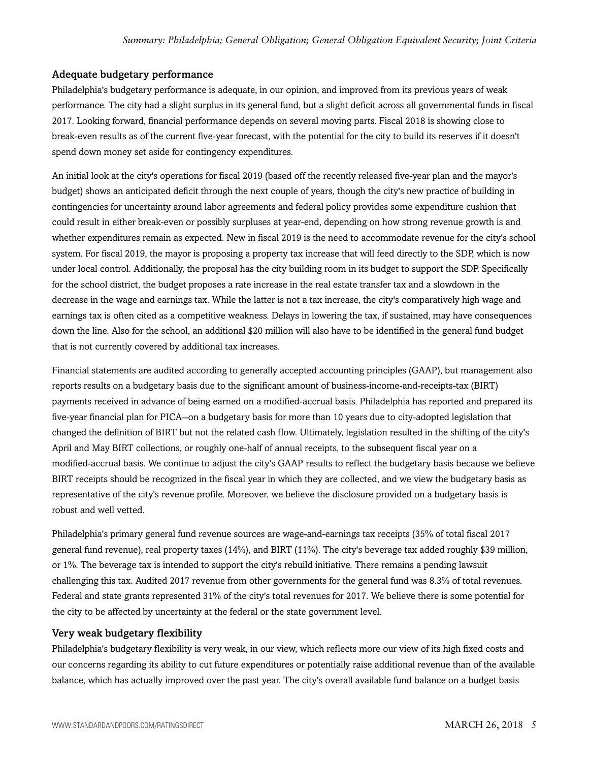#### Adequate budgetary performance

Philadelphia's budgetary performance is adequate, in our opinion, and improved from its previous years of weak performance. The city had a slight surplus in its general fund, but a slight deficit across all governmental funds in fiscal 2017. Looking forward, financial performance depends on several moving parts. Fiscal 2018 is showing close to break-even results as of the current five-year forecast, with the potential for the city to build its reserves if it doesn't spend down money set aside for contingency expenditures.

An initial look at the city's operations for fiscal 2019 (based off the recently released five-year plan and the mayor's budget) shows an anticipated deficit through the next couple of years, though the city's new practice of building in contingencies for uncertainty around labor agreements and federal policy provides some expenditure cushion that could result in either break-even or possibly surpluses at year-end, depending on how strong revenue growth is and whether expenditures remain as expected. New in fiscal 2019 is the need to accommodate revenue for the city's school system. For fiscal 2019, the mayor is proposing a property tax increase that will feed directly to the SDP, which is now under local control. Additionally, the proposal has the city building room in its budget to support the SDP. Specifically for the school district, the budget proposes a rate increase in the real estate transfer tax and a slowdown in the decrease in the wage and earnings tax. While the latter is not a tax increase, the city's comparatively high wage and earnings tax is often cited as a competitive weakness. Delays in lowering the tax, if sustained, may have consequences down the line. Also for the school, an additional \$20 million will also have to be identified in the general fund budget that is not currently covered by additional tax increases.

Financial statements are audited according to generally accepted accounting principles (GAAP), but management also reports results on a budgetary basis due to the significant amount of business-income-and-receipts-tax (BIRT) payments received in advance of being earned on a modified-accrual basis. Philadelphia has reported and prepared its five-year financial plan for PICA--on a budgetary basis for more than 10 years due to city-adopted legislation that changed the definition of BIRT but not the related cash flow. Ultimately, legislation resulted in the shifting of the city's April and May BIRT collections, or roughly one-half of annual receipts, to the subsequent fiscal year on a modified-accrual basis. We continue to adjust the city's GAAP results to reflect the budgetary basis because we believe BIRT receipts should be recognized in the fiscal year in which they are collected, and we view the budgetary basis as representative of the city's revenue profile. Moreover, we believe the disclosure provided on a budgetary basis is robust and well vetted.

Philadelphia's primary general fund revenue sources are wage-and-earnings tax receipts (35% of total fiscal 2017 general fund revenue), real property taxes (14%), and BIRT (11%). The city's beverage tax added roughly \$39 million, or 1%. The beverage tax is intended to support the city's rebuild initiative. There remains a pending lawsuit challenging this tax. Audited 2017 revenue from other governments for the general fund was 8.3% of total revenues. Federal and state grants represented 31% of the city's total revenues for 2017. We believe there is some potential for the city to be affected by uncertainty at the federal or the state government level.

#### Very weak budgetary flexibility

Philadelphia's budgetary flexibility is very weak, in our view, which reflects more our view of its high fixed costs and our concerns regarding its ability to cut future expenditures or potentially raise additional revenue than of the available balance, which has actually improved over the past year. The city's overall available fund balance on a budget basis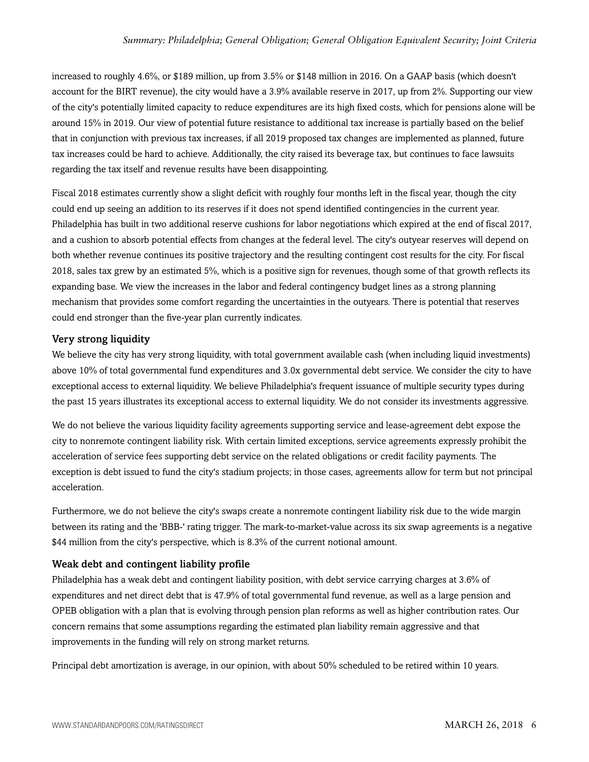increased to roughly 4.6%, or \$189 million, up from 3.5% or \$148 million in 2016. On a GAAP basis (which doesn't account for the BIRT revenue), the city would have a 3.9% available reserve in 2017, up from 2%. Supporting our view of the city's potentially limited capacity to reduce expenditures are its high fixed costs, which for pensions alone will be around 15% in 2019. Our view of potential future resistance to additional tax increase is partially based on the belief that in conjunction with previous tax increases, if all 2019 proposed tax changes are implemented as planned, future tax increases could be hard to achieve. Additionally, the city raised its beverage tax, but continues to face lawsuits regarding the tax itself and revenue results have been disappointing.

Fiscal 2018 estimates currently show a slight deficit with roughly four months left in the fiscal year, though the city could end up seeing an addition to its reserves if it does not spend identified contingencies in the current year. Philadelphia has built in two additional reserve cushions for labor negotiations which expired at the end of fiscal 2017, and a cushion to absorb potential effects from changes at the federal level. The city's outyear reserves will depend on both whether revenue continues its positive trajectory and the resulting contingent cost results for the city. For fiscal 2018, sales tax grew by an estimated 5%, which is a positive sign for revenues, though some of that growth reflects its expanding base. We view the increases in the labor and federal contingency budget lines as a strong planning mechanism that provides some comfort regarding the uncertainties in the outyears. There is potential that reserves could end stronger than the five-year plan currently indicates.

#### Very strong liquidity

We believe the city has very strong liquidity, with total government available cash (when including liquid investments) above 10% of total governmental fund expenditures and 3.0x governmental debt service. We consider the city to have exceptional access to external liquidity. We believe Philadelphia's frequent issuance of multiple security types during the past 15 years illustrates its exceptional access to external liquidity. We do not consider its investments aggressive.

We do not believe the various liquidity facility agreements supporting service and lease-agreement debt expose the city to nonremote contingent liability risk. With certain limited exceptions, service agreements expressly prohibit the acceleration of service fees supporting debt service on the related obligations or credit facility payments. The exception is debt issued to fund the city's stadium projects; in those cases, agreements allow for term but not principal acceleration.

Furthermore, we do not believe the city's swaps create a nonremote contingent liability risk due to the wide margin between its rating and the 'BBB-' rating trigger. The mark-to-market-value across its six swap agreements is a negative \$44 million from the city's perspective, which is 8.3% of the current notional amount.

#### Weak debt and contingent liability profile

Philadelphia has a weak debt and contingent liability position, with debt service carrying charges at 3.6% of expenditures and net direct debt that is 47.9% of total governmental fund revenue, as well as a large pension and OPEB obligation with a plan that is evolving through pension plan reforms as well as higher contribution rates. Our concern remains that some assumptions regarding the estimated plan liability remain aggressive and that improvements in the funding will rely on strong market returns.

Principal debt amortization is average, in our opinion, with about 50% scheduled to be retired within 10 years.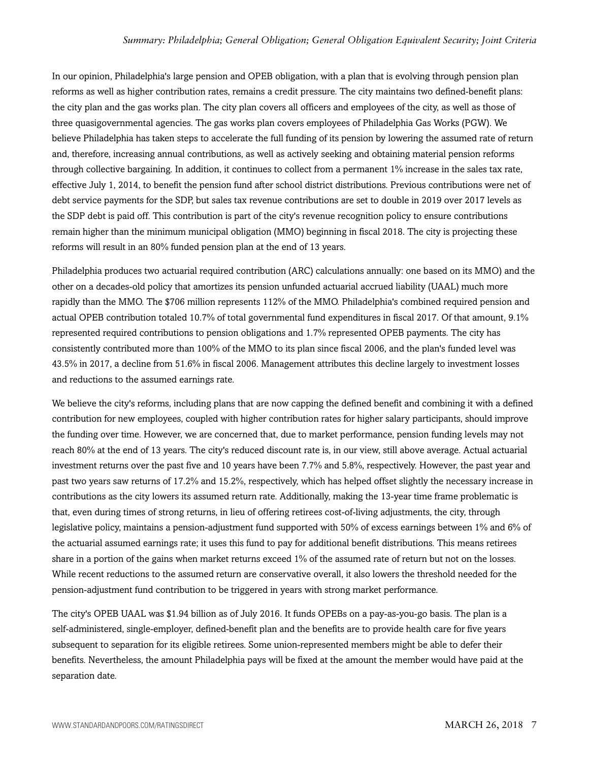#### *Summary: Philadelphia; General Obligation; General Obligation Equivalent Security; Joint Criteria*

In our opinion, Philadelphia's large pension and OPEB obligation, with a plan that is evolving through pension plan reforms as well as higher contribution rates, remains a credit pressure. The city maintains two defined-benefit plans: the city plan and the gas works plan. The city plan covers all officers and employees of the city, as well as those of three quasigovernmental agencies. The gas works plan covers employees of Philadelphia Gas Works (PGW). We believe Philadelphia has taken steps to accelerate the full funding of its pension by lowering the assumed rate of return and, therefore, increasing annual contributions, as well as actively seeking and obtaining material pension reforms through collective bargaining. In addition, it continues to collect from a permanent 1% increase in the sales tax rate, effective July 1, 2014, to benefit the pension fund after school district distributions. Previous contributions were net of debt service payments for the SDP, but sales tax revenue contributions are set to double in 2019 over 2017 levels as the SDP debt is paid off. This contribution is part of the city's revenue recognition policy to ensure contributions remain higher than the minimum municipal obligation (MMO) beginning in fiscal 2018. The city is projecting these reforms will result in an 80% funded pension plan at the end of 13 years.

Philadelphia produces two actuarial required contribution (ARC) calculations annually: one based on its MMO) and the other on a decades-old policy that amortizes its pension unfunded actuarial accrued liability (UAAL) much more rapidly than the MMO. The \$706 million represents 112% of the MMO. Philadelphia's combined required pension and actual OPEB contribution totaled 10.7% of total governmental fund expenditures in fiscal 2017. Of that amount, 9.1% represented required contributions to pension obligations and 1.7% represented OPEB payments. The city has consistently contributed more than 100% of the MMO to its plan since fiscal 2006, and the plan's funded level was 43.5% in 2017, a decline from 51.6% in fiscal 2006. Management attributes this decline largely to investment losses and reductions to the assumed earnings rate.

We believe the city's reforms, including plans that are now capping the defined benefit and combining it with a defined contribution for new employees, coupled with higher contribution rates for higher salary participants, should improve the funding over time. However, we are concerned that, due to market performance, pension funding levels may not reach 80% at the end of 13 years. The city's reduced discount rate is, in our view, still above average. Actual actuarial investment returns over the past five and 10 years have been 7.7% and 5.8%, respectively. However, the past year and past two years saw returns of 17.2% and 15.2%, respectively, which has helped offset slightly the necessary increase in contributions as the city lowers its assumed return rate. Additionally, making the 13-year time frame problematic is that, even during times of strong returns, in lieu of offering retirees cost-of-living adjustments, the city, through legislative policy, maintains a pension-adjustment fund supported with 50% of excess earnings between 1% and 6% of the actuarial assumed earnings rate; it uses this fund to pay for additional benefit distributions. This means retirees share in a portion of the gains when market returns exceed 1% of the assumed rate of return but not on the losses. While recent reductions to the assumed return are conservative overall, it also lowers the threshold needed for the pension-adjustment fund contribution to be triggered in years with strong market performance.

The city's OPEB UAAL was \$1.94 billion as of July 2016. It funds OPEBs on a pay-as-you-go basis. The plan is a self-administered, single-employer, defined-benefit plan and the benefits are to provide health care for five years subsequent to separation for its eligible retirees. Some union-represented members might be able to defer their benefits. Nevertheless, the amount Philadelphia pays will be fixed at the amount the member would have paid at the separation date.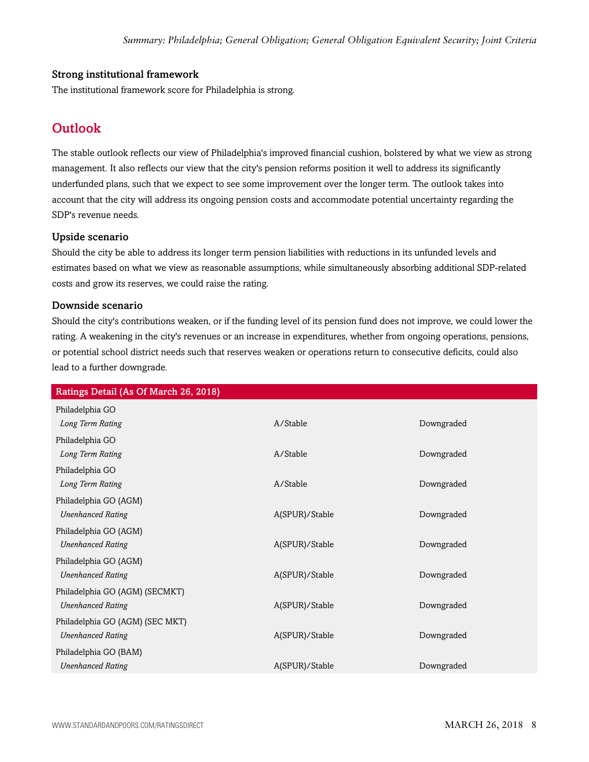#### Strong institutional framework

<span id="page-7-0"></span>The institutional framework score for Philadelphia is strong.

# **Outlook**

The stable outlook reflects our view of Philadelphia's improved financial cushion, bolstered by what we view as strong management. It also reflects our view that the city's pension reforms position it well to address its significantly underfunded plans, such that we expect to see some improvement over the longer term. The outlook takes into account that the city will address its ongoing pension costs and accommodate potential uncertainty regarding the SDP's revenue needs.

#### Upside scenario

Should the city be able to address its longer term pension liabilities with reductions in its unfunded levels and estimates based on what we view as reasonable assumptions, while simultaneously absorbing additional SDP-related costs and grow its reserves, we could raise the rating.

#### Downside scenario

Should the city's contributions weaken, or if the funding level of its pension fund does not improve, we could lower the rating. A weakening in the city's revenues or an increase in expenditures, whether from ongoing operations, pensions, or potential school district needs such that reserves weaken or operations return to consecutive deficits, could also lead to a further downgrade.

| Ratings Detail (As Of March 26, 2018) |                |            |  |  |
|---------------------------------------|----------------|------------|--|--|
| Philadelphia GO                       |                |            |  |  |
| Long Term Rating                      | A/Stable       | Downgraded |  |  |
| Philadelphia GO                       |                |            |  |  |
| Long Term Rating                      | A/Stable       | Downgraded |  |  |
| Philadelphia GO                       |                |            |  |  |
| Long Term Rating                      | A/Stable       | Downgraded |  |  |
| Philadelphia GO (AGM)                 |                |            |  |  |
| <b>Unenhanced Rating</b>              | A(SPUR)/Stable | Downgraded |  |  |
| Philadelphia GO (AGM)                 |                |            |  |  |
| <b>Unenhanced Rating</b>              | A(SPUR)/Stable | Downgraded |  |  |
| Philadelphia GO (AGM)                 |                |            |  |  |
| <b>Unenhanced Rating</b>              | A(SPUR)/Stable | Downgraded |  |  |
| Philadelphia GO (AGM) (SECMKT)        |                |            |  |  |
| <b>Unenhanced Rating</b>              | A(SPUR)/Stable | Downgraded |  |  |
| Philadelphia GO (AGM) (SEC MKT)       |                |            |  |  |
| <b>Unenhanced Rating</b>              | A(SPUR)/Stable | Downgraded |  |  |
| Philadelphia GO (BAM)                 |                |            |  |  |
| <b>Unenhanced Rating</b>              | A(SPUR)/Stable | Downgraded |  |  |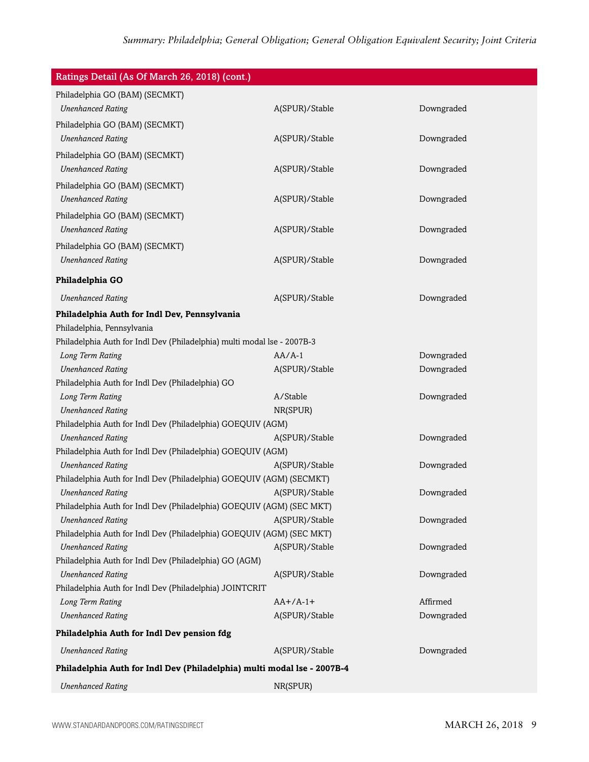| Ratings Detail (As Of March 26, 2018) (cont.)                                       |                |            |  |  |
|-------------------------------------------------------------------------------------|----------------|------------|--|--|
| Philadelphia GO (BAM) (SECMKT)                                                      |                |            |  |  |
| <b>Unenhanced Rating</b>                                                            | A(SPUR)/Stable | Downgraded |  |  |
| Philadelphia GO (BAM) (SECMKT)                                                      |                |            |  |  |
| <b>Unenhanced Rating</b>                                                            | A(SPUR)/Stable | Downgraded |  |  |
| Philadelphia GO (BAM) (SECMKT)                                                      |                |            |  |  |
| <b>Unenhanced Rating</b>                                                            | A(SPUR)/Stable | Downgraded |  |  |
| Philadelphia GO (BAM) (SECMKT)                                                      |                |            |  |  |
| <b>Unenhanced Rating</b>                                                            | A(SPUR)/Stable | Downgraded |  |  |
|                                                                                     |                |            |  |  |
| Philadelphia GO (BAM) (SECMKT)<br><b>Unenhanced Rating</b>                          |                | Downgraded |  |  |
|                                                                                     | A(SPUR)/Stable |            |  |  |
| Philadelphia GO (BAM) (SECMKT)                                                      |                |            |  |  |
| <b>Unenhanced Rating</b>                                                            | A(SPUR)/Stable | Downgraded |  |  |
| Philadelphia GO                                                                     |                |            |  |  |
| <b>Unenhanced Rating</b>                                                            | A(SPUR)/Stable | Downgraded |  |  |
| Philadelphia Auth for Indl Dev, Pennsylvania                                        |                |            |  |  |
| Philadelphia, Pennsylvania                                                          |                |            |  |  |
| Philadelphia Auth for Indl Dev (Philadelphia) multi modal lse - 2007B-3             |                |            |  |  |
| Long Term Rating                                                                    | $AA/A-1$       | Downgraded |  |  |
| <b>Unenhanced Rating</b>                                                            | A(SPUR)/Stable | Downgraded |  |  |
| Philadelphia Auth for Indl Dev (Philadelphia) GO                                    |                |            |  |  |
| Long Term Rating                                                                    | A/Stable       | Downgraded |  |  |
| <b>Unenhanced Rating</b>                                                            | NR(SPUR)       |            |  |  |
| Philadelphia Auth for Indl Dev (Philadelphia) GOEQUIV (AGM)                         |                |            |  |  |
| <b>Unenhanced Rating</b>                                                            | A(SPUR)/Stable | Downgraded |  |  |
| Philadelphia Auth for Indl Dev (Philadelphia) GOEQUIV (AGM)                         |                |            |  |  |
| <b>Unenhanced Rating</b>                                                            | A(SPUR)/Stable | Downgraded |  |  |
| Philadelphia Auth for Indl Dev (Philadelphia) GOEQUIV (AGM) (SECMKT)                |                |            |  |  |
| <b>Unenhanced Rating</b>                                                            | A(SPUR)/Stable | Downgraded |  |  |
| Philadelphia Auth for Indl Dev (Philadelphia) GOEQUIV (AGM) (SEC MKT)               |                |            |  |  |
| <b>Unenhanced Rating</b>                                                            | A(SPUR)/Stable | Downgraded |  |  |
| Philadelphia Auth for Indl Dev (Philadelphia) GOEQUIV (AGM) (SEC MKT)               |                |            |  |  |
| <b>Unenhanced Rating</b>                                                            | A(SPUR)/Stable | Downgraded |  |  |
| Philadelphia Auth for Indl Dev (Philadelphia) GO (AGM)                              |                |            |  |  |
| <b>Unenhanced Rating</b><br>Philadelphia Auth for Indl Dev (Philadelphia) JOINTCRIT | A(SPUR)/Stable | Downgraded |  |  |
| Long Term Rating                                                                    | $AA+/A-1+$     | Affirmed   |  |  |
| <b>Unenhanced Rating</b>                                                            | A(SPUR)/Stable | Downgraded |  |  |
|                                                                                     |                |            |  |  |
| Philadelphia Auth for Indl Dev pension fdg                                          |                |            |  |  |
| <b>Unenhanced Rating</b>                                                            | A(SPUR)/Stable | Downgraded |  |  |
| Philadelphia Auth for Indl Dev (Philadelphia) multi modal Ise - 2007B-4             |                |            |  |  |
| <b>Unenhanced Rating</b>                                                            | NR(SPUR)       |            |  |  |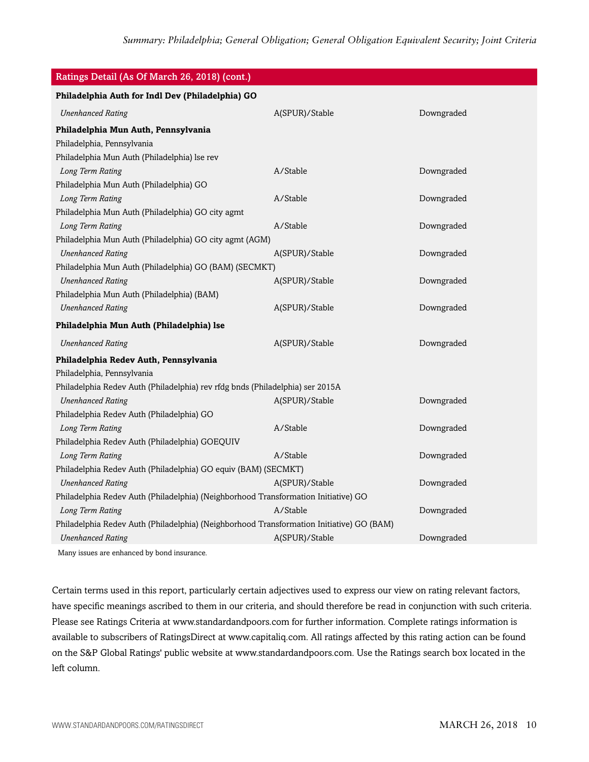| Ratings Detail (As Of March 26, 2018) (cont.)                                            |                |            |  |  |
|------------------------------------------------------------------------------------------|----------------|------------|--|--|
| Philadelphia Auth for Indl Dev (Philadelphia) GO                                         |                |            |  |  |
| <b>Unenhanced Rating</b>                                                                 | A(SPUR)/Stable | Downgraded |  |  |
| Philadelphia Mun Auth, Pennsylvania                                                      |                |            |  |  |
| Philadelphia, Pennsylvania                                                               |                |            |  |  |
| Philadelphia Mun Auth (Philadelphia) lse rev                                             |                |            |  |  |
| Long Term Rating                                                                         | A/Stable       | Downgraded |  |  |
| Philadelphia Mun Auth (Philadelphia) GO                                                  |                |            |  |  |
| Long Term Rating                                                                         | A/Stable       | Downgraded |  |  |
| Philadelphia Mun Auth (Philadelphia) GO city agmt                                        |                |            |  |  |
| Long Term Rating                                                                         | A/Stable       | Downgraded |  |  |
| Philadelphia Mun Auth (Philadelphia) GO city agmt (AGM)                                  |                |            |  |  |
| <b>Unenhanced Rating</b>                                                                 | A(SPUR)/Stable | Downgraded |  |  |
| Philadelphia Mun Auth (Philadelphia) GO (BAM) (SECMKT)                                   |                |            |  |  |
| <b>Unenhanced Rating</b>                                                                 | A(SPUR)/Stable | Downgraded |  |  |
| Philadelphia Mun Auth (Philadelphia) (BAM)                                               |                |            |  |  |
| <b>Unenhanced Rating</b>                                                                 | A(SPUR)/Stable | Downgraded |  |  |
| Philadelphia Mun Auth (Philadelphia) Ise                                                 |                |            |  |  |
| <b>Unenhanced Rating</b>                                                                 | A(SPUR)/Stable | Downgraded |  |  |
| Philadelphia Redev Auth, Pennsylvania                                                    |                |            |  |  |
| Philadelphia, Pennsylvania                                                               |                |            |  |  |
| Philadelphia Redev Auth (Philadelphia) rev rfdg bnds (Philadelphia) ser 2015A            |                |            |  |  |
| <b>Unenhanced Rating</b>                                                                 | A(SPUR)/Stable | Downgraded |  |  |
| Philadelphia Redev Auth (Philadelphia) GO                                                |                |            |  |  |
| Long Term Rating                                                                         | A/Stable       | Downgraded |  |  |
| Philadelphia Redev Auth (Philadelphia) GOEQUIV                                           |                |            |  |  |
| Long Term Rating                                                                         | A/Stable       | Downgraded |  |  |
| Philadelphia Redev Auth (Philadelphia) GO equiv (BAM) (SECMKT)                           |                |            |  |  |
| <b>Unenhanced Rating</b>                                                                 | A(SPUR)/Stable | Downgraded |  |  |
| Philadelphia Redev Auth (Philadelphia) (Neighborhood Transformation Initiative) GO       |                |            |  |  |
| Long Term Rating                                                                         | A/Stable       | Downgraded |  |  |
| Philadelphia Redev Auth (Philadelphia) (Neighborhood Transformation Initiative) GO (BAM) |                |            |  |  |
| <b>Unenhanced Rating</b>                                                                 | A(SPUR)/Stable | Downgraded |  |  |
| Many issues are enhanced by bond insurance.                                              |                |            |  |  |

Certain terms used in this report, particularly certain adjectives used to express our view on rating relevant factors, have specific meanings ascribed to them in our criteria, and should therefore be read in conjunction with such criteria. Please see Ratings Criteria at www.standardandpoors.com for further information. Complete ratings information is available to subscribers of RatingsDirect at www.capitaliq.com. All ratings affected by this rating action can be found on the S&P Global Ratings' public website at www.standardandpoors.com. Use the Ratings search box located in the left column.